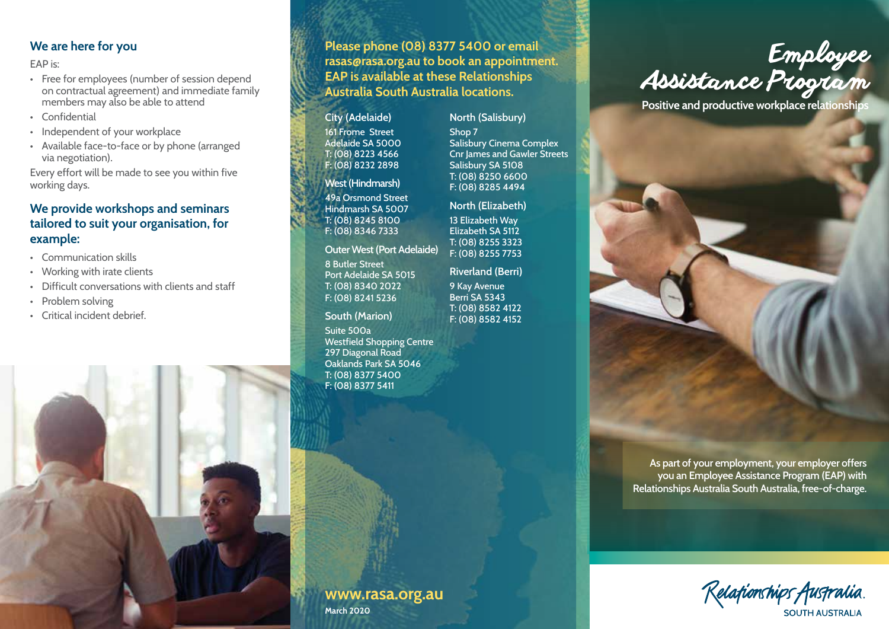### **We are here for you**

EAP is:

- Free for employees (number of session depend on contractual agreement) and immediate family members may also be able to attend
- Confidential
- Independent of your workplace
- Available face-to-face or by phone (arranged via negotiation).

Every effort will be made to see you within five working days.

## **We provide workshops and seminars tailored to suit your organisation, for example:**

- Communication skills
- Working with irate clients
- Difficult conversations with clients and staff
- Problem solving
- Critical incident debrief.



**City (Adelaide)** 161 Frome Street Adelaide SA 5000 T: (08) 8223 4566 F: (08) 8232 2898

#### **West (Hindmarsh)**

49a Orsmond Street Hindmarsh SA 5007 T: (08) 8245 8100 F: (08) 8346 7333

#### **Outer West (Port Adelaide)**

8 Butler Street Port Adelaide SA 5015 T: (08) 8340 2022 F: (08) 8241 5236

### **South (Marion)**

Suite 500a

Westfield Shopping Centre 297 Diagonal Road Oaklands Park SA 5046 T: (08) 8377 5400 F: (08) 8377 5411

**www.rasa.org.au**

**March 2020**

**North (Salisbury)** Shop 7 Salisbury Cinema Complex Cnr James and Gawler Streets Salisbury SA 5108 T: (08) 8250 6600 F: (08) 8285 4494

#### **North (Elizabeth)**

13 Elizabeth Way Elizabeth SA 5112 T: (08) 8255 3323 F: (08) 8255 7753

**Riverland (Berri)**

9 Kay Avenue Berri SA 5343 T: (08) 8582 4122 F: (08) 8582 4152



**Relationships**<br>**Positive and productive workplace relationships** 

**counselling**

**As part of your employment, your employer offers you an Employee Assistance Program (EAP) with Relationships Australia South Australia, free-of-charge.**

Relafionships Australia SOUTH AUSTRALIA